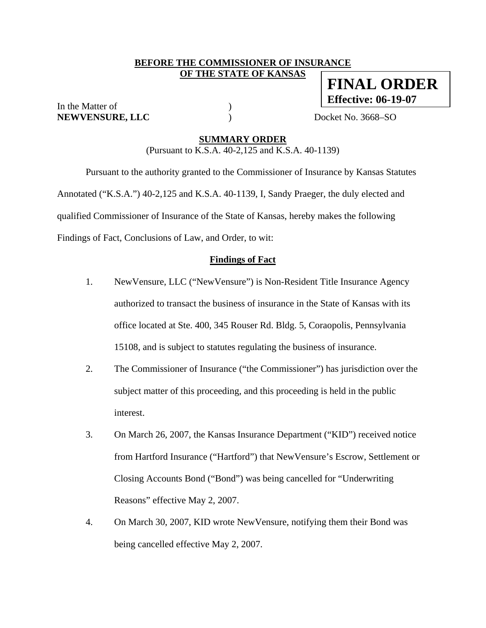### **BEFORE THE COMMISSIONER OF INSURANCE OF THE STATE OF KANSAS**

In the Matter of  $($ **NEWVENSURE, LLC** ) Docket No. 3668–SO

**FINAL ORDER Effective: 06-19-07**

#### **SUMMARY ORDER**

(Pursuant to K.S.A. 40-2,125 and K.S.A. 40-1139)

 Pursuant to the authority granted to the Commissioner of Insurance by Kansas Statutes Annotated ("K.S.A.") 40-2,125 and K.S.A. 40-1139, I, Sandy Praeger, the duly elected and qualified Commissioner of Insurance of the State of Kansas, hereby makes the following Findings of Fact, Conclusions of Law, and Order, to wit:

#### **Findings of Fact**

- 1. NewVensure, LLC ("NewVensure") is Non-Resident Title Insurance Agency authorized to transact the business of insurance in the State of Kansas with its office located at Ste. 400, 345 Rouser Rd. Bldg. 5, Coraopolis, Pennsylvania 15108, and is subject to statutes regulating the business of insurance.
- 2. The Commissioner of Insurance ("the Commissioner") has jurisdiction over the subject matter of this proceeding, and this proceeding is held in the public interest.
- 3. On March 26, 2007, the Kansas Insurance Department ("KID") received notice from Hartford Insurance ("Hartford") that NewVensure's Escrow, Settlement or Closing Accounts Bond ("Bond") was being cancelled for "Underwriting Reasons" effective May 2, 2007.
- 4. On March 30, 2007, KID wrote NewVensure, notifying them their Bond was being cancelled effective May 2, 2007.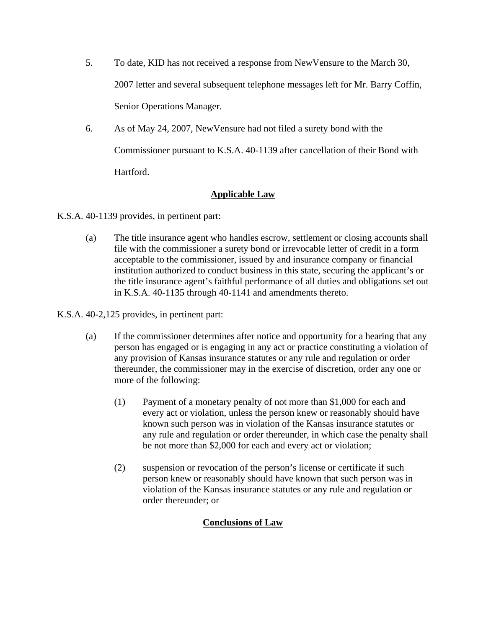- 5. To date, KID has not received a response from NewVensure to the March 30, 2007 letter and several subsequent telephone messages left for Mr. Barry Coffin, Senior Operations Manager.
- 6. As of May 24, 2007, NewVensure had not filed a surety bond with the Commissioner pursuant to K.S.A. 40-1139 after cancellation of their Bond with Hartford.

# **Applicable Law**

K.S.A. 40-1139 provides, in pertinent part:

(a) The title insurance agent who handles escrow, settlement or closing accounts shall file with the commissioner a surety bond or irrevocable letter of credit in a form acceptable to the commissioner, issued by and insurance company or financial institution authorized to conduct business in this state, securing the applicant's or the title insurance agent's faithful performance of all duties and obligations set out in K.S.A. 40-1135 through 40-1141 and amendments thereto.

K.S.A. 40-2,125 provides, in pertinent part:

- (a) If the commissioner determines after notice and opportunity for a hearing that any person has engaged or is engaging in any act or practice constituting a violation of any provision of Kansas insurance statutes or any rule and regulation or order thereunder, the commissioner may in the exercise of discretion, order any one or more of the following:
	- (1) Payment of a monetary penalty of not more than \$1,000 for each and every act or violation, unless the person knew or reasonably should have known such person was in violation of the Kansas insurance statutes or any rule and regulation or order thereunder, in which case the penalty shall be not more than \$2,000 for each and every act or violation;
	- (2) suspension or revocation of the person's license or certificate if such person knew or reasonably should have known that such person was in violation of the Kansas insurance statutes or any rule and regulation or order thereunder; or

## **Conclusions of Law**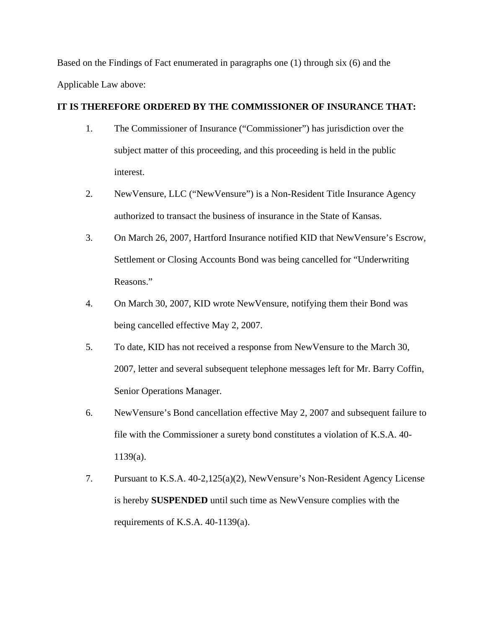Based on the Findings of Fact enumerated in paragraphs one (1) through six (6) and the Applicable Law above:

### **IT IS THEREFORE ORDERED BY THE COMMISSIONER OF INSURANCE THAT:**

- 1. The Commissioner of Insurance ("Commissioner") has jurisdiction over the subject matter of this proceeding, and this proceeding is held in the public interest.
- 2. NewVensure, LLC ("NewVensure") is a Non-Resident Title Insurance Agency authorized to transact the business of insurance in the State of Kansas.
- 3. On March 26, 2007, Hartford Insurance notified KID that NewVensure's Escrow, Settlement or Closing Accounts Bond was being cancelled for "Underwriting Reasons."
- 4. On March 30, 2007, KID wrote NewVensure, notifying them their Bond was being cancelled effective May 2, 2007.
- 5. To date, KID has not received a response from NewVensure to the March 30, 2007, letter and several subsequent telephone messages left for Mr. Barry Coffin, Senior Operations Manager.
- 6. NewVensure's Bond cancellation effective May 2, 2007 and subsequent failure to file with the Commissioner a surety bond constitutes a violation of K.S.A. 40- 1139(a).
- 7. Pursuant to K.S.A. 40-2,125(a)(2), NewVensure's Non-Resident Agency License is hereby **SUSPENDED** until such time as NewVensure complies with the requirements of K.S.A. 40-1139(a).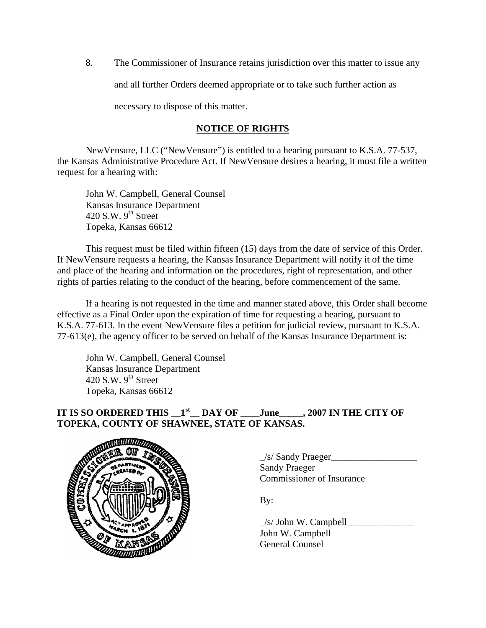8. The Commissioner of Insurance retains jurisdiction over this matter to issue any

and all further Orders deemed appropriate or to take such further action as

necessary to dispose of this matter.

## **NOTICE OF RIGHTS**

NewVensure, LLC ("NewVensure") is entitled to a hearing pursuant to K.S.A. 77-537, the Kansas Administrative Procedure Act. If NewVensure desires a hearing, it must file a written request for a hearing with:

 John W. Campbell, General Counsel Kansas Insurance Department 420 S.W.  $9^{th}$  Street Topeka, Kansas 66612

This request must be filed within fifteen (15) days from the date of service of this Order. If NewVensure requests a hearing, the Kansas Insurance Department will notify it of the time and place of the hearing and information on the procedures, right of representation, and other rights of parties relating to the conduct of the hearing, before commencement of the same.

If a hearing is not requested in the time and manner stated above, this Order shall become effective as a Final Order upon the expiration of time for requesting a hearing, pursuant to K.S.A. 77-613. In the event NewVensure files a petition for judicial review, pursuant to K.S.A. 77-613(e), the agency officer to be served on behalf of the Kansas Insurance Department is:

 John W. Campbell, General Counsel Kansas Insurance Department 420 S.W.  $9<sup>th</sup>$  Street Topeka, Kansas 66612

# IT IS SO ORDERED THIS  $1<sup>st</sup>$  DAY OF \_\_\_\_June\_\_\_\_\_, 2007 IN THE CITY OF **TOPEKA, COUNTY OF SHAWNEE, STATE OF KANSAS.**



 $\angle$ s/ Sandy Praeger $\angle$  Sandy Praeger Commissioner of Insurance

By:

 $\angle$ s/ John W. Campbell $\angle$  John W. Campbell General Counsel